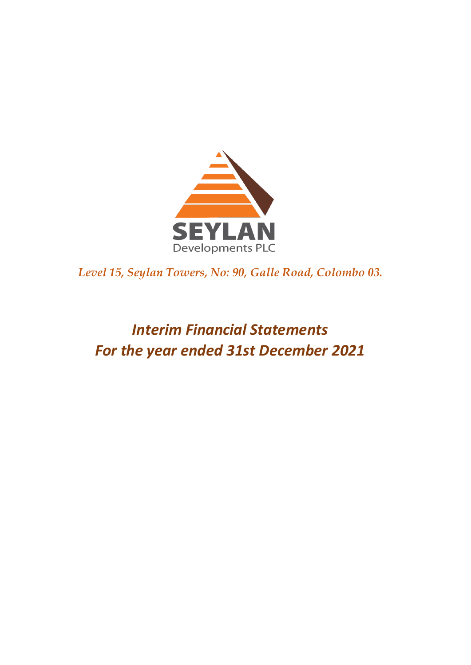

*Level 15, Seylan Towers, No: 90, Galle Road, Colombo 03.* 

# *Interim Financial Statements For the year ended 31st December 2021*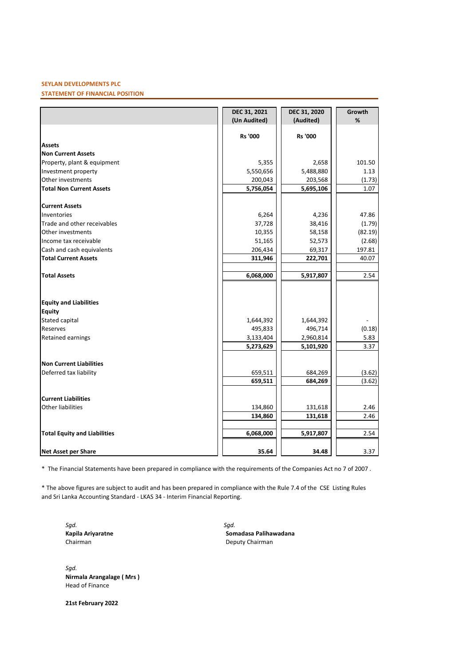# **SEYLAN DEVELOPMENTS PLC**

# **STATEMENT OF FINANCIAL POSITION**

|                                     | DEC 31, 2021   | DEC 31, 2020   | Growth  |
|-------------------------------------|----------------|----------------|---------|
|                                     | (Un Audited)   | (Audited)      | %       |
|                                     |                |                |         |
|                                     | <b>Rs '000</b> | <b>Rs '000</b> |         |
| <b>Assets</b>                       |                |                |         |
| <b>Non Current Assets</b>           |                |                |         |
| Property, plant & equipment         | 5,355          | 2,658          | 101.50  |
| Investment property                 | 5,550,656      | 5,488,880      | 1.13    |
| Other investments                   | 200,043        | 203,568        | (1.73)  |
| <b>Total Non Current Assets</b>     | 5,756,054      | 5,695,106      | 1.07    |
| <b>Current Assets</b>               |                |                |         |
| Inventories                         | 6,264          | 4,236          | 47.86   |
| Trade and other receivables         | 37,728         | 38,416         | (1.79)  |
| Other investments                   | 10,355         | 58,158         | (82.19) |
| Income tax receivable               | 51,165         | 52,573         | (2.68)  |
| Cash and cash equivalents           | 206,434        | 69,317         | 197.81  |
| <b>Total Current Assets</b>         | 311,946        | 222,701        | 40.07   |
|                                     |                |                |         |
| <b>Total Assets</b>                 | 6,068,000      | 5,917,807      | 2.54    |
|                                     |                |                |         |
| <b>Equity and Liabilities</b>       |                |                |         |
| <b>Equity</b>                       |                |                |         |
| <b>Stated capital</b>               | 1,644,392      | 1,644,392      |         |
| Reserves                            | 495,833        | 496,714        | (0.18)  |
| <b>Retained earnings</b>            | 3,133,404      | 2,960,814      | 5.83    |
|                                     | 5,273,629      | 5,101,920      | 3.37    |
| <b>Non Current Liabilities</b>      |                |                |         |
| Deferred tax liability              | 659,511        | 684,269        | (3.62)  |
|                                     | 659,511        | 684,269        | (3.62)  |
|                                     |                |                |         |
| <b>Current Liabilities</b>          |                |                |         |
| Other liabilities                   | 134,860        | 131,618        | 2.46    |
|                                     | 134,860        | 131,618        | 2.46    |
| <b>Total Equity and Liabilities</b> | 6,068,000      | 5,917,807      | 2.54    |
|                                     |                |                |         |
| <b>Net Asset per Share</b>          | 35.64          | 34.48          | 3.37    |

\* The Financial Statements have been prepared in compliance with the requirements of the Companies Act no 7 of 2007 .

\* The above figures are subject to audit and has been prepared in compliance with the Rule 7.4 of the CSE Listing Rules and Sri Lanka Accounting Standard - LKAS 34 - Interim Financial Reporting.

*Sgd. Sgd.*

**Kapila Ariyaratne Somadasa Palihawadana** Deputy Chairman

*Sgd.* **Nirmala Arangalage ( Mrs )** Head of Finance

**21st February 2022**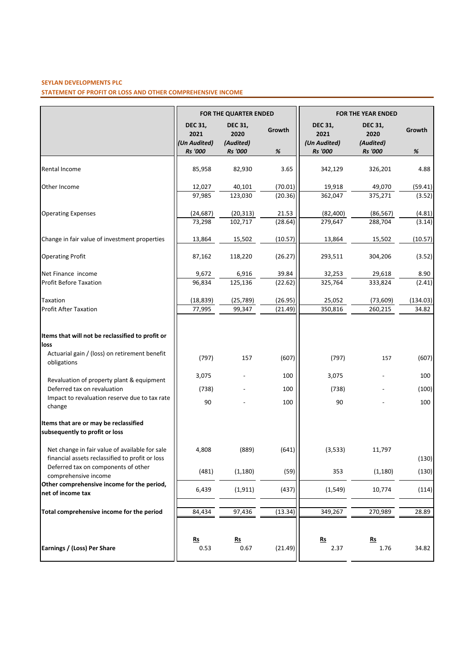# **SEYLAN DEVELOPMENTS PLC**

**STATEMENT OF PROFIT OR LOSS AND OTHER COMPREHENSIVE INCOME**

|                                                                                                                          | <b>FOR THE QUARTER ENDED</b>           |                                     | <b>FOR THE YEAR ENDED</b> |                                        |                                     |                   |
|--------------------------------------------------------------------------------------------------------------------------|----------------------------------------|-------------------------------------|---------------------------|----------------------------------------|-------------------------------------|-------------------|
|                                                                                                                          | <b>DEC 31,</b><br>2021<br>(Un Audited) | <b>DEC 31,</b><br>2020<br>(Audited) | Growth                    | <b>DEC 31,</b><br>2021<br>(Un Audited) | <b>DEC 31,</b><br>2020<br>(Audited) | Growth            |
|                                                                                                                          | <b>Rs</b> '000                         | <b>Rs</b> '000                      | %                         | <b>Rs</b> '000                         | <b>Rs</b> '000                      | %                 |
| Rental Income                                                                                                            | 85,958                                 | 82,930                              | 3.65                      | 342,129                                | 326,201                             | 4.88              |
| Other Income                                                                                                             | 12,027<br>97,985                       | 40,101<br>123,030                   | (70.01)<br>(20.36)        | 19,918<br>362,047                      | 49,070<br>375,271                   | (59.41)<br>(3.52) |
| <b>Operating Expenses</b>                                                                                                | (24, 687)<br>73,298                    | (20, 313)<br>102,717                | 21.53<br>(28.64)          | (82, 400)<br>279,647                   | (86, 567)<br>288,704                | (4.81)<br>(3.14)  |
| Change in fair value of investment properties                                                                            | 13,864                                 | 15,502                              | (10.57)                   | 13,864                                 | 15,502                              | (10.57)           |
| <b>Operating Profit</b>                                                                                                  | 87,162                                 | 118,220                             | (26.27)                   | 293,511                                | 304,206                             | (3.52)            |
| Net Finance income<br><b>Profit Before Taxation</b>                                                                      | 9,672<br>96,834                        | 6,916<br>125,136                    | 39.84<br>(22.62)          | 32,253<br>325,764                      | 29,618<br>333,824                   | 8.90<br>(2.41)    |
| Taxation<br><b>Profit After Taxation</b>                                                                                 | (18, 839)<br>77,995                    | (25, 789)<br>99,347                 | (26.95)<br>(21.49)        | 25,052<br>350,816                      | (73, 609)<br>260,215                | (134.03)<br>34.82 |
| Items that will not be reclassified to profit or<br>loss<br>Actuarial gain / (loss) on retirement benefit<br>obligations | (797)                                  | 157                                 | (607)                     | (797)                                  | 157                                 | (607)             |
| Revaluation of property plant & equipment<br>Deferred tax on revaluation                                                 | 3,075                                  |                                     | 100<br>100                | 3,075                                  |                                     | 100               |
| Impact to revaluation reserve due to tax rate<br>change                                                                  | (738)<br>90                            |                                     | 100                       | (738)<br>90                            |                                     | (100)<br>100      |
| Items that are or may be reclassified<br>subsequently to profit or loss                                                  |                                        |                                     |                           |                                        |                                     |                   |
| Net change in fair value of available for sale<br>financial assets reclassified to profit or loss                        | 4,808                                  | (889)                               | (641)                     | (3,533)                                | 11,797                              | (130)             |
| Deferred tax on components of other<br>comprehensive income                                                              | (481)                                  | (1, 180)                            | (59)                      | 353                                    | (1, 180)                            | (130)             |
| Other comprehensive income for the period,<br>net of income tax                                                          | 6,439                                  | (1, 911)                            | (437)                     | (1, 549)                               | 10,774                              | (114)             |
| Total comprehensive income for the period                                                                                | 84,434                                 | 97,436                              | (13.34)                   | 349,267                                | 270,989                             | 28.89             |
| Earnings / (Loss) Per Share                                                                                              | $Rs$<br>0.53                           | $\underline{\mathbf{Rs}}$<br>0.67   | (21.49)                   | $\underline{\mathsf{Rs}}$<br>2.37      | $\underline{\mathsf{Rs}}$<br>1.76   | 34.82             |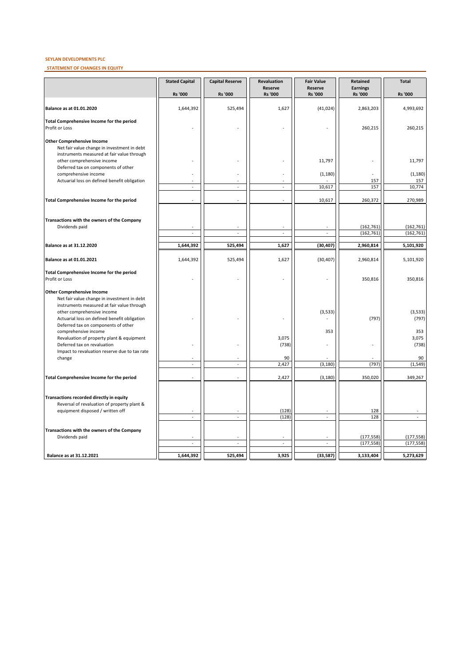## **SEYLAN DEVELOPMENTS PLC**

**STATEMENT OF CHANGES IN EQUITY**

|                                                                                                                                                                 | <b>Stated Capital</b> | <b>Capital Reserve</b> | Revaluation                      | <b>Fair Value</b>                | Retained                          | <b>Total</b>             |
|-----------------------------------------------------------------------------------------------------------------------------------------------------------------|-----------------------|------------------------|----------------------------------|----------------------------------|-----------------------------------|--------------------------|
|                                                                                                                                                                 | <b>Rs '000</b>        | <b>Rs '000</b>         | <b>Reserve</b><br><b>Rs</b> '000 | <b>Reserve</b><br><b>Rs '000</b> | <b>Earnings</b><br><b>Rs '000</b> | Rs '000                  |
| <b>Balance as at 01.01.2020</b>                                                                                                                                 | 1,644,392             | 525,494                | 1,627                            | (41, 024)                        | 2,863,203                         | 4,993,692                |
| Total Comprehensive Income for the period<br>Profit or Loss                                                                                                     |                       |                        |                                  |                                  | 260,215                           | 260,215                  |
| <b>Other Comprehensive Income</b><br>Net fair value change in investment in debt                                                                                |                       |                        |                                  |                                  |                                   |                          |
| instruments measured at fair value through<br>other comprehensive income<br>Deferred tax on components of other                                                 |                       |                        |                                  | 11,797                           |                                   | 11,797                   |
| comprehensive income                                                                                                                                            |                       |                        |                                  | (1, 180)                         |                                   | (1, 180)                 |
| Actuarial loss on defined benefit obligation                                                                                                                    |                       | ÷.                     |                                  | 10,617                           | 157<br>157                        | 157<br>10,774            |
| Total Comprehensive Income for the period                                                                                                                       |                       |                        |                                  | 10,617                           | 260,372                           | 270,989                  |
| Transactions with the owners of the Company                                                                                                                     |                       |                        |                                  |                                  |                                   |                          |
| Dividends paid                                                                                                                                                  |                       |                        |                                  |                                  | (162, 761)                        | (162, 761)               |
|                                                                                                                                                                 | $\overline{a}$        | $\overline{a}$         |                                  |                                  | (162, 761)                        | (162, 761)               |
| Balance as at 31.12.2020                                                                                                                                        | 1,644,392             | 525,494                | 1,627                            | (30, 407)                        | 2,960,814                         | 5,101,920                |
| Balance as at 01.01.2021                                                                                                                                        | 1,644,392             | 525,494                | 1,627                            | (30, 407)                        | 2,960,814                         | 5,101,920                |
| Total Comprehensive Income for the period<br>Profit or Loss                                                                                                     |                       |                        |                                  |                                  | 350,816                           | 350,816                  |
| <b>Other Comprehensive Income</b><br>Net fair value change in investment in debt                                                                                |                       |                        |                                  |                                  |                                   |                          |
| instruments measured at fair value through<br>other comprehensive income<br>Actuarial loss on defined benefit obligation<br>Deferred tax on components of other |                       |                        |                                  | (3, 533)                         | (797)                             | (3,533)<br>(797)         |
| comprehensive income<br>Revaluation of property plant & equipment                                                                                               |                       |                        | 3,075                            | 353                              |                                   | 353<br>3,075             |
| Deferred tax on revaluation<br>Impact to revaluation reserve due to tax rate                                                                                    |                       |                        | (738)                            |                                  |                                   | (738)                    |
| change                                                                                                                                                          | L.                    | ÷,                     | 90<br>2,427                      | (3, 180)                         | (797)                             | 90<br>(1, 549)           |
|                                                                                                                                                                 |                       |                        |                                  |                                  |                                   |                          |
| Total Comprehensive Income for the period                                                                                                                       |                       |                        | 2,427                            | (3, 180)                         | 350,020                           | 349,267                  |
| Transactions recorded directly in equity<br>Reversal of revaluation of property plant &                                                                         |                       |                        |                                  |                                  |                                   |                          |
| equipment disposed / written off                                                                                                                                | $\mathcal{L}$         | ä,                     | (128)<br>(128)                   | $\sim$                           | 128<br>128                        | $\mathbf{r}$             |
| Transactions with the owners of the Company                                                                                                                     |                       |                        |                                  |                                  |                                   |                          |
| Dividends paid                                                                                                                                                  | L.                    | ÷<br>L.                | ÷,                               |                                  | (177, 558)<br>(177, 558)          | (177, 558)<br>(177, 558) |
| Balance as at 31.12.2021                                                                                                                                        | 1,644,392             | 525,494                | 3,925                            | (33, 587)                        | 3,133,404                         | 5,273,629                |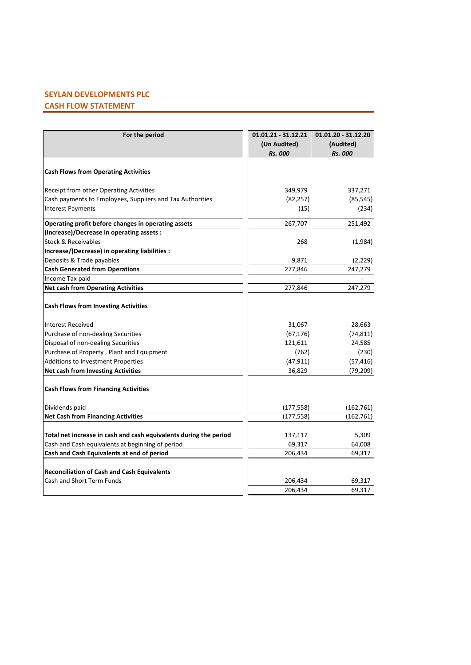# **SEYLAN DEVELOPMENTS PLC CASH FLOW STATEMENT**

| For the period                                                    | 01.01.21 - 31.12.21 | 01.01.20 - 31.12.20 |
|-------------------------------------------------------------------|---------------------|---------------------|
|                                                                   | (Un Audited)        | (Audited)           |
|                                                                   | <b>Rs. 000</b>      | <b>Rs. 000</b>      |
|                                                                   |                     |                     |
| <b>Cash Flows from Operating Activities</b>                       |                     |                     |
| Receipt from other Operating Activities                           | 349,979             | 337,271             |
| Cash payments to Employees, Suppliers and Tax Authorities         | (82, 257)           | (85, 545)           |
| <b>Interest Payments</b>                                          | (15)                | (234)               |
| Operating profit before changes in operating assets               | 267,707             | 251,492             |
| (Increase)/Decrease in operating assets :                         |                     |                     |
| Stock & Receivables                                               | 268                 | (1,984)             |
| Increase/(Decrease) in operating liabilities :                    |                     |                     |
| Deposits & Trade payables                                         | 9,871               | (2, 229)            |
| <b>Cash Generated from Operations</b>                             | 277,846             | 247,279             |
| Income Tax paid                                                   |                     |                     |
| <b>Net cash from Operating Activities</b>                         | 277,846             | 247,279             |
| <b>Cash Flows from Investing Activities</b>                       |                     |                     |
| Interest Received                                                 | 31,067              | 28,663              |
| Purchase of non-dealing Securities                                | (67, 176)           | (74, 811)           |
| Disposal of non-dealing Securities                                | 121,611             | 24,585              |
| Purchase of Property, Plant and Equipment                         | (762)               | (230)               |
| Additions to Investment Properties                                | (47, 911)           | (57, 416)           |
| <b>Net cash from Investing Activities</b>                         | 36,829              | (79, 209)           |
| <b>Cash Flows from Financing Activities</b>                       |                     |                     |
| Dividends paid                                                    | (177, 558)          | (162, 761)          |
| <b>Net Cash from Financing Activities</b>                         | (177, 558)          | (162, 761)          |
|                                                                   |                     |                     |
| Total net increase in cash and cash equivalents during the period | 137,117             | 5,309               |
| Cash and Cash equivalents at beginning of period                  | 69,317              | 64,008              |
| Cash and Cash Equivalents at end of period                        | 206,434             | 69,317              |
| <b>Reconciliation of Cash and Cash Equivalents</b>                |                     |                     |
| Cash and Short Term Funds                                         | 206,434             | 69,317              |
|                                                                   | 206,434             | 69,317              |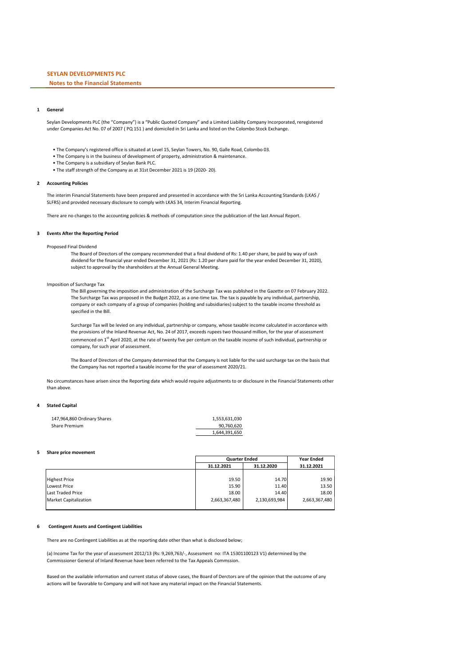## **Notes to the Financial Statements**

### **1 General**

Seylan Developments PLC (the "Company") is a "Public Quoted Company" and a Limited Liability Company Incorporated, reregistered under Companies Act No. 07 of 2007 ( PQ 151 ) and domiciled in Sri Lanka and listed on the Colombo Stock Exchange.

- The Company's registered office is situated at Level 15, Seylan Towers, No. 90, Galle Road, Colombo 03.
- The Company is in the business of development of property, administration & maintenance.
- The Company is a subsidiary of Seylan Bank PLC.
- The staff strength of the Company as at 31st December 2021 is 19 (2020- 20).

#### **2 Accounting Policies**

The interim Financial Statements have been prepared and presented in accordance with the Sri Lanka Accounting Standards (LKAS / SLFRS) and provided necessary disclosure to comply with LKAS 34, Interim Financial Reporting.

There are no changes to the accounting policies & methods of computation since the publication of the last Annual Report.

#### **3 Events After the Reporting Period**

Proposed Final Dividend

The Board of Directors of the company recommended that a final dividend of Rs: 1.40 per share, be paid by way of cash dividend for the financial year ended December 31, 2021 (Rs: 1.20 per share paid for the year ended December 31, 2020), subject to approval by the shareholders at the Annual General Meeting.

#### Imposition of Surcharge Tax

The Bill governing the imposition and administration of the Surcharge Tax was published in the Gazette on 07 February 2022. The Surcharge Tax was proposed in the Budget 2022, as a one-time tax. The tax is payable by any individual, partnership, company or each company of a group of companies (holding and subsidiaries) subject to the taxable income threshold as specified in the Bill.

Surcharge Tax will be levied on any individual, partnership or company, whose taxable income calculated in accordance with the provisions of the Inland Revenue Act, No. 24 of 2017, exceeds rupees two thousand million, for the year of assessment commenced on 1<sup>st</sup> April 2020, at the rate of twenty five per centum on the taxable income of such individual, partnership or company, for such year of assessment.

The Board of Directors of the Company determined that the Company is not liable for the said surcharge tax on the basis that the Company has not reported a taxable income for the year of assessment 2020/21.

No circumstances have arisen since the Reporting date which would require adjustments to or disclosure in the Financial Statements other than above.

## **4 Stated Capital**

| 147,964,860 Ordinary Shares | 1.553.631.030 |
|-----------------------------|---------------|
| Share Premium               | 90.760.620    |
|                             | 1.644.391.650 |

## **5 Share price movement**

|                              |               | <b>Quarter Ended</b> |               |  |
|------------------------------|---------------|----------------------|---------------|--|
|                              | 31.12.2021    | 31.12.2020           | 31.12.2021    |  |
|                              |               |                      |               |  |
| <b>Highest Price</b>         | 19.50         | 14.70                | 19.90         |  |
| <b>Lowest Price</b>          | 15.90         | 11.40                | 13.50         |  |
| Last Traded Price            | 18.00         | 14.40                | 18.00         |  |
| <b>Market Capitalization</b> | 2,663,367,480 | 2,130,693,984        | 2,663,367,480 |  |
|                              |               |                      |               |  |

#### **6 Contingent Assets and Contingent Liabilities**

There are no Contingent Liabilities as at the reporting date other than what is disclosed below;

(a) Income Tax for the year of assessment 2012/13 (Rs: 9,269,763/-, Assessment no: ITA 15301100123 V1) determined by the Commissioner General of Inland Revenue have been referred to the Tax Appeals Commssion.

Based on the available information and current status of above cases, the Board of Derctors are of the opinion that the outcome of any actions will be favorable to Company and will not have any material impact on the Financial Statements.